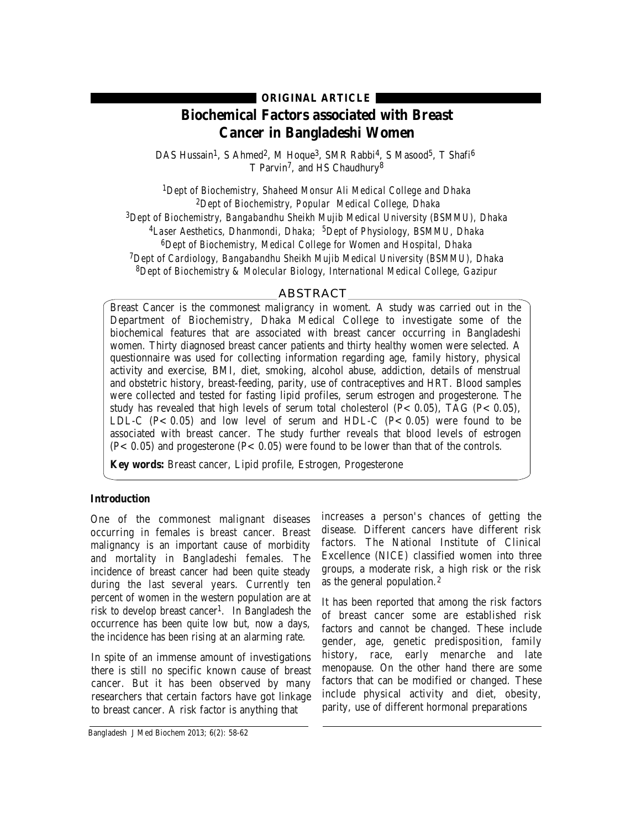# **ORIGINAL ARTICLE**

# **Biochemical Factors associated with Breast Cancer in Bangladeshi Women**

DAS Hussain<sup>1</sup>, S Ahmed<sup>2</sup>, M Hoque<sup>3</sup>, SMR Rabbi<sup>4</sup>, S Masood<sup>5</sup>, T Shafi<sup>6</sup> T Parvin<sup>7</sup>, and HS Chaudhury<sup>8</sup>

*1Dept of Biochemistry, Shaheed Monsur Ali Medical College and Dhaka 2Dept of Biochemistry, Popular Medical College, Dhaka 3Dept of Biochemistry, Bangabandhu Sheikh Mujib Medical University (BSMMU), Dhaka 4Laser Aesthetics, Dhanmondi, Dhaka; 5Dept of Physiology, BSMMU, Dhaka 6Dept of Biochemistry, Medical College for Women and Hospital, Dhaka 7Dept of Cardiology, Bangabandhu Sheikh Mujib Medical University (BSMMU), Dhaka 8Dept of Biochemistry & Molecular Biology, International Medical College, Gazipur*

# ABSTRACT

Breast Cancer is the commonest maligrancy in woment. A study was carried out in the Department of Biochemistry, Dhaka Medical College to investigate some of the biochemical features that are associated with breast cancer occurring in Bangladeshi women. Thirty diagnosed breast cancer patients and thirty healthy women were selected. A questionnaire was used for collecting information regarding age, family history, physical activity and exercise, BMI, diet, smoking, alcohol abuse, addiction, details of menstrual and obstetric history, breast-feeding, parity, use of contraceptives and HRT. Blood samples were collected and tested for fasting lipid profiles, serum estrogen and progesterone. The study has revealed that high levels of serum total cholesterol  $(P< 0.05)$ , TAG  $(P< 0.05)$ , LDL-C  $(P < 0.05)$  and low level of serum and HDL-C  $(P < 0.05)$  were found to be associated with breast cancer. The study further reveals that blood levels of estrogen  $(P< 0.05)$  and progesterone  $(P< 0.05)$  were found to be lower than that of the controls.

**Key words:** Breast cancer, Lipid profile, Estrogen, Progesterone

## **Introduction**

One of the commonest malignant diseases occurring in females is breast cancer. Breast malignancy is an important cause of morbidity and mortality in Bangladeshi females. The incidence of breast cancer had been quite steady during the last several years. Currently ten percent of women in the western population are at risk to develop breast cancer<sup>1</sup>. In Bangladesh the occurrence has been quite low but, now a days, the incidence has been rising at an alarming rate.

In spite of an immense amount of investigations there is still no specific known cause of breast cancer. But it has been observed by many researchers that certain factors have got linkage to breast cancer. A risk factor is anything that

increases a person's chances of getting the disease. Different cancers have different risk factors. The National Institute of Clinical Excellence (NICE) classified women into three groups, a moderate risk, a high risk or the risk as the general population.<sup>2</sup>

It has been reported that among the risk factors of breast cancer some are established risk factors and cannot be changed. These include gender, age, genetic predisposition, family history, race, early menarche and late menopause. On the other hand there are some factors that can be modified or changed. These include physical activity and diet, obesity, parity, use of different hormonal preparations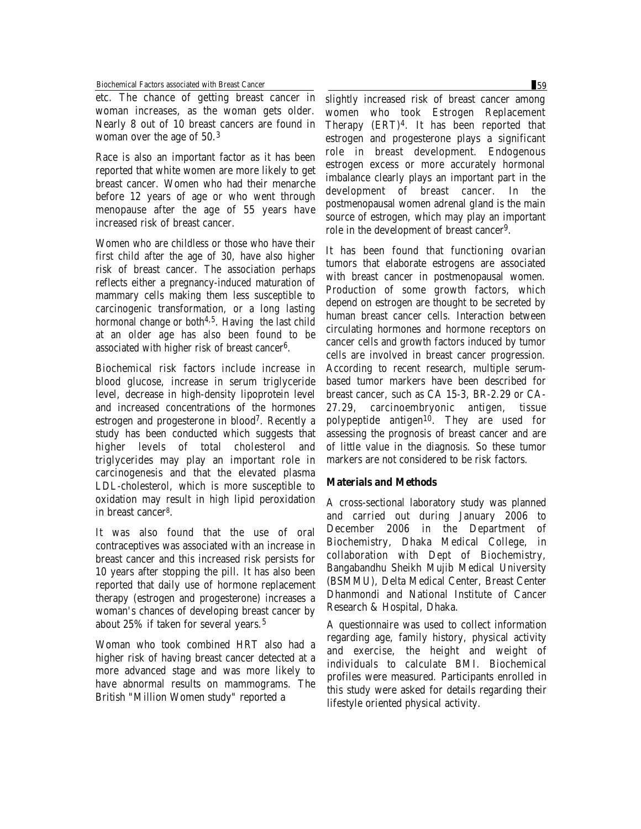Biochemical Factors associated with Breast Cancer 59

etc. The chance of getting breast cancer in woman increases, as the woman gets older. Nearly 8 out of 10 breast cancers are found in woman over the age of 50.<sup>3</sup>

Race is also an important factor as it has been reported that white women are more likely to get breast cancer. Women who had their menarche before 12 years of age or who went through menopause after the age of 55 years have increased risk of breast cancer.

Women who are childless or those who have their first child after the age of 30, have also higher risk of breast cancer. The association perhaps reflects either a pregnancy-induced maturation of mammary cells making them less susceptible to carcinogenic transformation, or a long lasting hormonal change or both<sup>4,5</sup>. Having the last child at an older age has also been found to be associated with higher risk of breast cancer6.

Biochemical risk factors include increase in blood glucose, increase in serum triglyceride level, decrease in high-density lipoprotein level and increased concentrations of the hormones estrogen and progesterone in blood7. Recently a study has been conducted which suggests that higher levels of total cholesterol and triglycerides may play an important role in carcinogenesis and that the elevated plasma LDL-cholesterol, which is more susceptible to oxidation may result in high lipid peroxidation in breast cancer8.

It was also found that the use of oral contraceptives was associated with an increase in breast cancer and this increased risk persists for 10 years after stopping the pill. It has also been reported that daily use of hormone replacement therapy (estrogen and progesterone) increases a woman's chances of developing breast cancer by about 25% if taken for several years.<sup>5</sup>

Woman who took combined HRT also had a higher risk of having breast cancer detected at a more advanced stage and was more likely to have abnormal results on mammograms. The British "Million Women study" reported a

slightly increased risk of breast cancer among women who took Estrogen Replacement Therapy (ERT)4. It has been reported that estrogen and progesterone plays a significant role in breast development. Endogenous estrogen excess or more accurately hormonal imbalance clearly plays an important part in the development of breast cancer. In the postmenopausal women adrenal gland is the main source of estrogen, which may play an important role in the development of breast cancer9.

It has been found that functioning ovarian tumors that elaborate estrogens are associated with breast cancer in postmenopausal women. Production of some growth factors, which depend on estrogen are thought to be secreted by human breast cancer cells. Interaction between circulating hormones and hormone receptors on cancer cells and growth factors induced by tumor cells are involved in breast cancer progression. According to recent research, multiple serumbased tumor markers have been described for breast cancer, such as CA 15-3, BR-2.29 or CA-27.29, carcinoembryonic antigen, tissue polypeptide antigen<sup>10</sup>. They are used for assessing the prognosis of breast cancer and are of little value in the diagnosis. So these tumor markers are not considered to be risk factors.

# **Materials and Methods**

A cross-sectional laboratory study was planned and carried out during January 2006 to December 2006 in the Department of Biochemistry, Dhaka Medical College, in collaboration with Dept of Biochemistry, Bangabandhu Sheikh Mujib Medical University (BSMMU), Delta Medical Center, Breast Center Dhanmondi and National Institute of Cancer Research & Hospital, Dhaka.

A questionnaire was used to collect information regarding age, family history, physical activity and exercise, the height and weight of individuals to calculate BMI. Biochemical profiles were measured. Participants enrolled in this study were asked for details regarding their lifestyle oriented physical activity.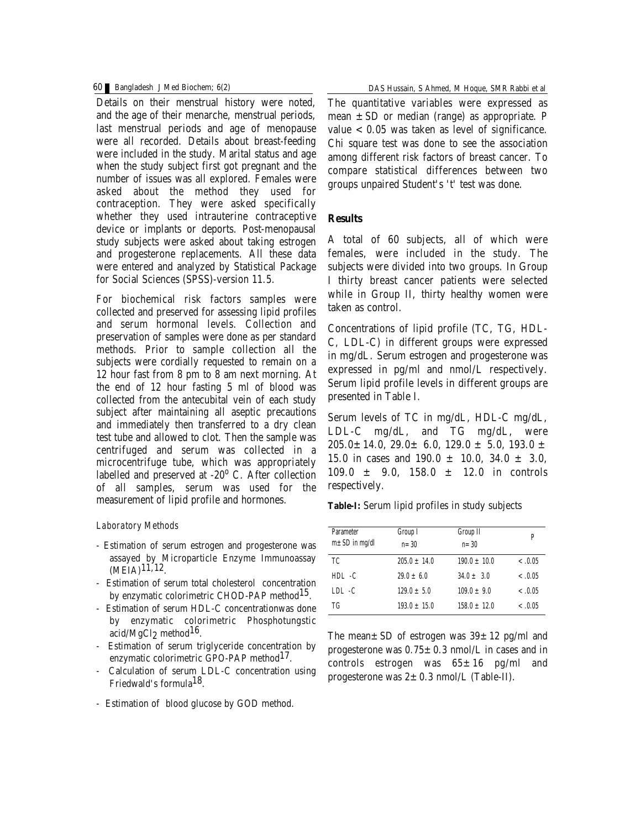Details on their menstrual history were noted, and the age of their menarche, menstrual periods, last menstrual periods and age of menopause were all recorded. Details about breast-feeding were included in the study. Marital status and age when the study subject first got pregnant and the number of issues was all explored. Females were asked about the method they used for contraception. They were asked specifically whether they used intrauterine contraceptive device or implants or deports. Post-menopausal study subjects were asked about taking estrogen and progesterone replacements. All these data were entered and analyzed by Statistical Package for Social Sciences (SPSS)-version 11.5.

For biochemical risk factors samples were collected and preserved for assessing lipid profiles and serum hormonal levels. Collection and preservation of samples were done as per standard methods. Prior to sample collection all the subjects were cordially requested to remain on a 12 hour fast from 8 pm to 8 am next morning. At the end of 12 hour fasting 5 ml of blood was collected from the antecubital vein of each study subject after maintaining all aseptic precautions and immediately then transferred to a dry clean test tube and allowed to clot. Then the sample was centrifuged and serum was collected in a microcentrifuge tube, which was appropriately labelled and preserved at  $-20^{\circ}$  C. After collection of all samples, serum was used for the measurement of lipid profile and hormones.

### *Laboratory Methods*

- Estimation of serum estrogen and progesterone was assayed by Microparticle Enzyme Immunoassay  $(MEIA)<sup>11,12</sup>$ .
- Estimation of serum total cholesterol concentration by enzymatic colorimetric CHOD-PAP method<sup>15</sup>.
- Estimation of serum HDL-C concentrationwas done by enzymatic colorimetric Phosphotungstic acid/MgCl2 method16.
- Estimation of serum triglyceride concentration by enzymatic colorimetric GPO-PAP method<sup>17</sup>.
- Calculation of serum LDL-C concentration using Friedwald's formula18.
- Estimation of blood glucose by GOD method.

The quantitative variables were expressed as mean  $\pm$  SD or median (range) as appropriate. P value  $< 0.05$  was taken as level of significance. Chi square test was done to see the association among different risk factors of breast cancer. To compare statistical differences between two groups unpaired Student's 't' test was done.

# **Results**

A total of 60 subjects, all of which were females, were included in the study. The subjects were divided into two groups. In Group I thirty breast cancer patients were selected while in Group II, thirty healthy women were taken as control.

Concentrations of lipid profile (TC, TG, HDL-C, LDL-C) in different groups were expressed in mg/dL. Serum estrogen and progesterone was expressed in pg/ml and nmol/L respectively. Serum lipid profile levels in different groups are presented in Table I.

Serum levels of TC in mg/dL, HDL-C mg/dL, LDL-C mg/dL, and TG mg/dL, were  $205.0 \pm 14.0$ ,  $29.0 \pm 6.0$ ,  $129.0 \pm 5.0$ ,  $193.0 \pm 14.0$ 15.0 in cases and  $190.0 \pm 10.0$ ,  $34.0 \pm 3.0$ ,  $109.0 \pm 9.0, 158.0 \pm 12.0$  in controls respectively.

**Table-I:** Serum lipid profiles in study subjects

| <b>Parameter</b><br>$m \pm SD$ in mg/dl | Group I<br>$n = 30$ | Group II<br>$n = 30$ | P        |
|-----------------------------------------|---------------------|----------------------|----------|
| ТC                                      | $205.0 \pm 14.0$    | $190.0 \pm 10.0$     | $-.0.05$ |
| $HDL - C$                               | $29.0 \pm 6.0$      | $34.0 \pm 3.0$       | $-.0.05$ |
| $LDL - C$                               | $129.0 \pm 5.0$     | $109.0 \pm 9.0$      | $-.0.05$ |
| TG                                      | $193.0 \pm 15.0$    | $158.0 \pm 12.0$     | $-.0.05$ |

The mean $\pm$  SD of estrogen was  $39\pm12$  pg/ml and progesterone was  $0.75 \pm 0.3$  nmol/L in cases and in controls estrogen was  $65 \pm 16$  pg/ml and progesterone was  $2 \pm 0.3$  nmol/L (Table-II).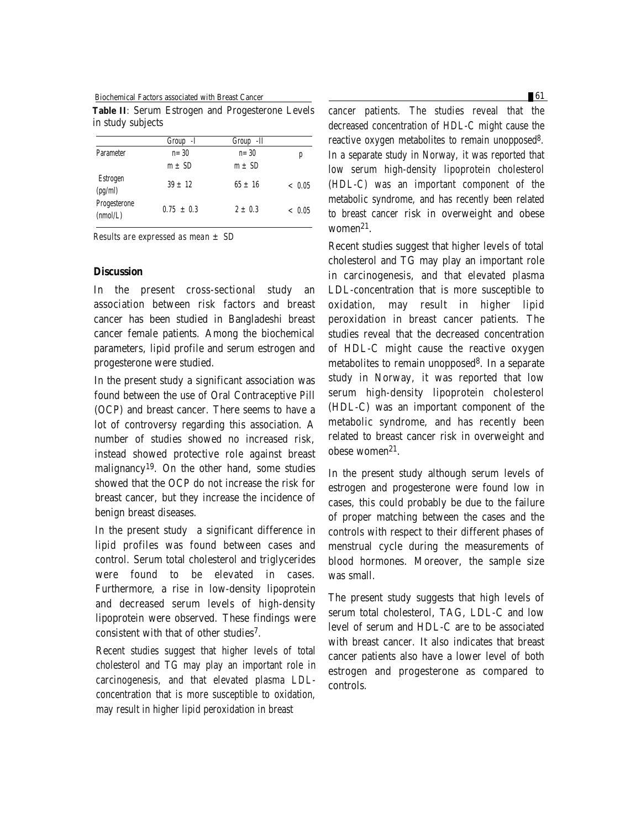Biochemical Factors associated with Breast Cancer **61 61** 

**Table II**: Serum Estrogen and Progesterone Levels in study subjects

|                          | Group -I       | Group - II  |         |
|--------------------------|----------------|-------------|---------|
| <b>Parameter</b>         | $n = 30$       | $n = 30$    | p       |
|                          | $m \pm SD$     | $m \pm SD$  |         |
| Estrogen<br>(pg/ml)      | $39 \pm 12$    | $65 \pm 16$ | ~<~0.05 |
| Progesterone<br>(mmol/L) | $0.75 \pm 0.3$ | $2 \pm 0.3$ | ~<~0.05 |

*Results are expressed as mean ± SD*

# **Discussion**

In the present cross-sectional study an association between risk factors and breast cancer has been studied in Bangladeshi breast cancer female patients. Among the biochemical parameters, lipid profile and serum estrogen and progesterone were studied.

In the present study a significant association was found between the use of Oral Contraceptive Pill (OCP) and breast cancer. There seems to have a lot of controversy regarding this association. A number of studies showed no increased risk, instead showed protective role against breast malignancy19. On the other hand, some studies showed that the OCP do not increase the risk for breast cancer, but they increase the incidence of benign breast diseases.

In the present study a significant difference in lipid profiles was found between cases and control. Serum total cholesterol and triglycerides were found to be elevated in cases. Furthermore, a rise in low-density lipoprotein and decreased serum levels of high-density lipoprotein were observed. These findings were consistent with that of other studies7.

Recent studies suggest that higher levels of total cholesterol and TG may play an important role in carcinogenesis, and that elevated plasma LDLconcentration that is more susceptible to oxidation, may result in higher lipid peroxidation in breast

cancer patients. The studies reveal that the decreased concentration of HDL-C might cause the reactive oxygen metabolites to remain unopposed8. In a separate study in Norway, it was reported that low serum high-density lipoprotein cholesterol (HDL-C) was an important component of the metabolic syndrome, and has recently been related to breast cancer risk in overweight and obese women $^{21}.$ 

Recent studies suggest that higher levels of total cholesterol and TG may play an important role in carcinogenesis, and that elevated plasma LDL-concentration that is more susceptible to oxidation, may result in higher lipid peroxidation in breast cancer patients. The studies reveal that the decreased concentration of HDL-C might cause the reactive oxygen metabolites to remain unopposed8. In a separate study in Norway, it was reported that low serum high-density lipoprotein cholesterol (HDL-C) was an important component of the metabolic syndrome, and has recently been related to breast cancer risk in overweight and obese women21.

In the present study although serum levels of estrogen and progesterone were found low in cases, this could probably be due to the failure of proper matching between the cases and the controls with respect to their different phases of menstrual cycle during the measurements of blood hormones. Moreover, the sample size was small.

The present study suggests that high levels of serum total cholesterol, TAG, LDL-C and low level of serum and HDL-C are to be associated with breast cancer. It also indicates that breast cancer patients also have a lower level of both estrogen and progesterone as compared to controls.